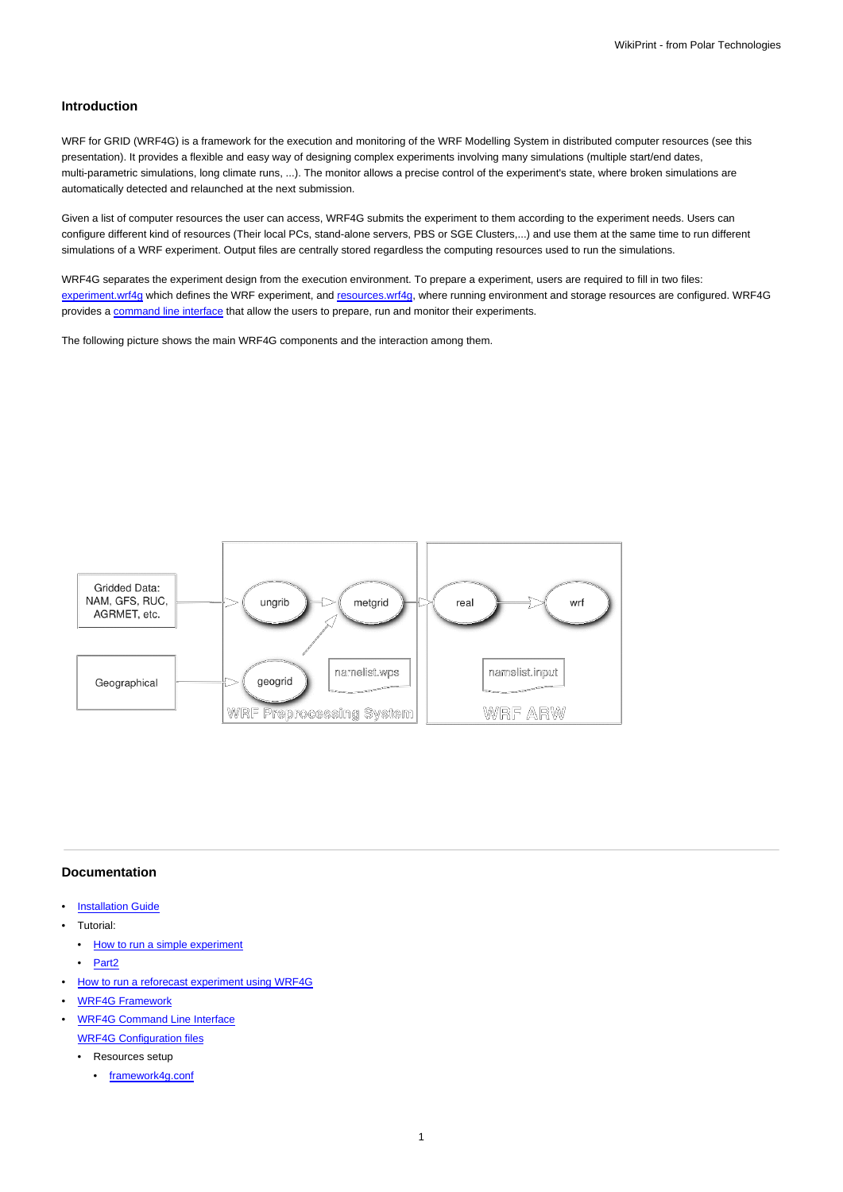## **Introduction**

WRF for GRID (WRF4G) is a framework for the execution and monitoring of the WRF Modelling System in distributed computer resources (see this presentation). It provides a flexible and easy way of designing complex experiments involving many simulations (multiple start/end dates, multi-parametric simulations, long climate runs, ...). The monitor allows a precise control of the experiment's state, where broken simulations are automatically detected and relaunched at the next submission.

Given a list of computer resources the user can access, WRF4G submits the experiment to them according to the experiment needs. Users can configure different kind of resources (Their local PCs, stand-alone servers, PBS or SGE Clusters,...) and use them at the same time to run different simulations of a WRF experiment. Output files are centrally stored regardless the computing resources used to run the simulations.

WRF4G separates the experiment design from the execution environment. To prepare a experiment, users are required to fill in two files: [experiment.wrf4g](https://meteo.unican.es/trac/wiki/WRF4Gexperiment_wrf4g) which defines the WRF experiment, and [resources.wrf4g,](https://meteo.unican.es/trac/wiki/WRF4Gresources_wrf4g) where running environment and storage resources are configured. WRF4G provides a [command line interface](https://meteo.unican.es/trac/wiki/WRF4GCommandLineInterface) that allow the users to prepare, run and monitor their experiments.

The following picture shows the main WRF4G components and the interaction among them.



## **Documentation**

- **[Installation Guide](https://meteo.unican.es/trac/wiki/WRF4GInstall)**
- Tutorial:
	- [How to run a simple experiment](https://meteo.unican.es/trac/wiki/WRF4GTutorial)
	- [Part2](https://meteo.unican.es/trac/wiki/WRF4GTutorial2)
- [How to run a reforecast experiment using WRF4G](https://meteo.unican.es/trac/wiki/WRF4GWRFReforecast)
- [WRF4G Framework](https://meteo.unican.es/trac/wiki/WRF4GFrameworkConfiguration)
- [WRF4G Command Line Interface](https://meteo.unican.es/trac/wiki/WRF4GCommandLineInterface) [WRF4G Configuration files](https://meteo.unican.es/trac/wiki/WRF4GConfigurationFiles)
	- Resources setup
		- [framework4g.conf](https://meteo.unican.es/trac/wiki/WRF4Gframework4g_conf)